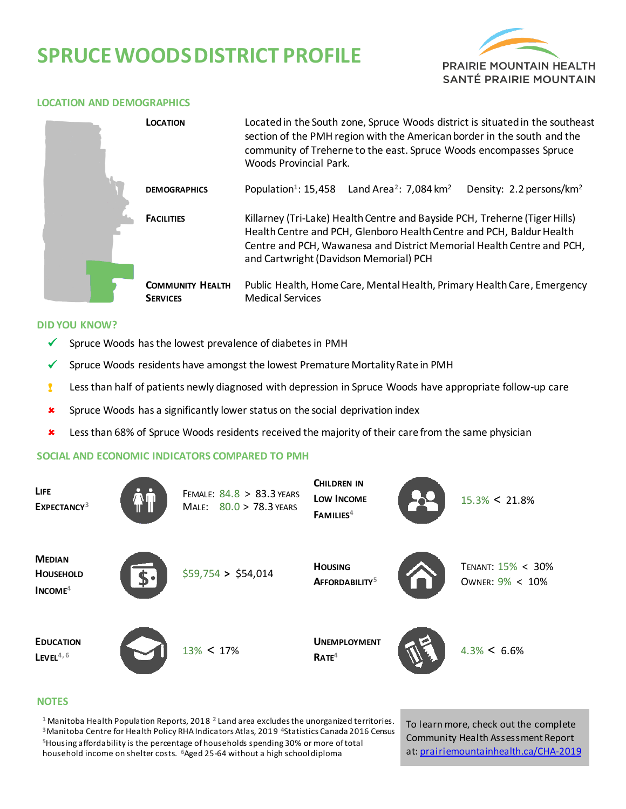# **SPRUCEWOODSDISTRICT PROFILE**



#### **LOCATION AND DEMOGRAPHICS**

|  | <b>LOCATION</b>                            | Located in the South zone, Spruce Woods district is situated in the southeast<br>section of the PMH region with the American border in the south and the<br>community of Treherne to the east. Spruce Woods encompasses Spruce<br>Woods Provincial Park.              |  |  |  |
|--|--------------------------------------------|-----------------------------------------------------------------------------------------------------------------------------------------------------------------------------------------------------------------------------------------------------------------------|--|--|--|
|  | <b>DEMOGRAPHICS</b>                        | Population <sup>1</sup> : 15,458 Land Area <sup>2</sup> : 7,084 km <sup>2</sup><br>Density: 2.2 persons/km <sup>2</sup>                                                                                                                                               |  |  |  |
|  | <b>FACILITIES</b>                          | Killarney (Tri-Lake) Health Centre and Bayside PCH, Treherne (Tiger Hills)<br>Health Centre and PCH, Glenboro Health Centre and PCH, Baldur Health<br>Centre and PCH, Wawanesa and District Memorial Health Centre and PCH,<br>and Cartwright (Davidson Memorial) PCH |  |  |  |
|  | <b>COMMUNITY HEALTH</b><br><b>SERVICES</b> | Public Health, Home Care, Mental Health, Primary Health Care, Emergency<br><b>Medical Services</b>                                                                                                                                                                    |  |  |  |

#### **DID YOU KNOW?**

- $\checkmark$  Spruce Woods has the lowest prevalence of diabetes in PMH
- $\checkmark$  Spruce Woods residents have amongst the lowest Premature Mortality Rate in PMH
- **!** Less than half of patients newly diagnosed with depression in Spruce Woods have appropriate follow-up care
- **x** Spruce Woods has a significantly lower status on the social deprivation index
- **\*** Less than 68% of Spruce Woods residents received the majority of their care from the same physician

### **SOCIAL AND ECONOMIC INDICATORS COMPARED TO PMH**



#### **NOTES**

 Manitoba Health Population Reports, 2018 **<sup>2</sup>**Land area excludes the unorganized territories. Manitoba Centre for Health Policy RHA Indicators Atlas, 2019 **<sup>4</sup>**Statistics Canada 2016 Census Housing affordability is the percentage of households spending 30% or more of total household income on shelter costs. **<sup>6</sup>**Aged 25-64 without a high school diploma

To learn more, check out the complete Community Health Assessment Report at[: prairiemountainhealth.ca/CHA-2019](https://prairiemountainhealth.ca/CHA-2019)